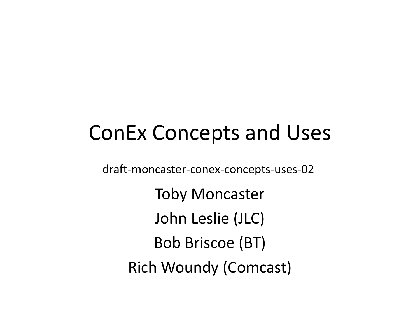# ConEx Concepts and Uses

draft-moncaster-conex-concepts-uses-02

Toby MoncasterJohn Leslie (JLC)Bob Briscoe (BT)Rich Woundy (Comcast)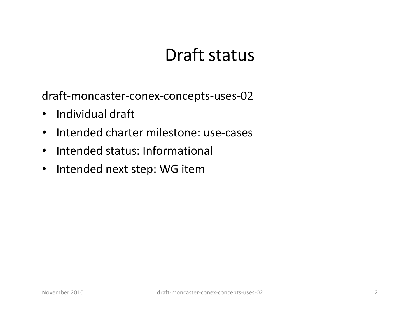#### Draft status

draft-moncaster-conex-concepts-uses-02

- $\bullet$ Individual draft
- •Intended charter milestone: use-cases
- $\bullet$ Intended status: Informational
- •Intended next step: WG item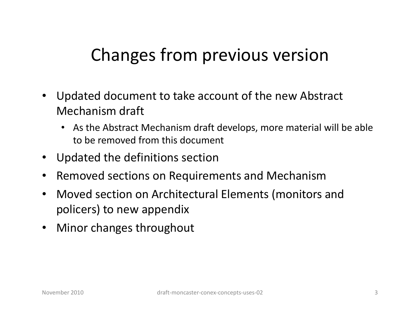#### Changes from previous version

- $\bullet$  Updated document to take account of the new Abstract Mechanism draft
	- As the Abstract Mechanism draft develops, more material will be able to be removed from this document
- $\bullet$ Updated the definitions section
- $\bullet$ Removed sections on Requirements and Mechanism
- Moved section on Architectural Elements (monitors and  $\bullet$ policers) to new appendix
- $\bullet$ Minor changes throughout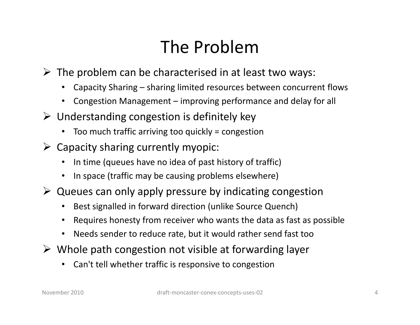## The Problem

- $\triangleright$  The problem can be characterised in at least two ways:
	- •Capacity Sharing – sharing limited resources between concurrent flows
	- •Congestion Management – improving performance and delay for all
- $\triangleright$  Understanding congestion is definitely key
	- Too much traffic arriving too quickly = congestion
- > Capacity sharing currently myopic:
	- •In time (queues have no idea of past history of traffic)
	- In space (traffic may be causing problems elsewhere)
- $\triangleright$  Queues can only apply pressure by indicating congestion
	- •Best signalled in forward direction (unlike Source Quench)
	- $\bullet$ Requires honesty from receiver who wants the data as fast as possible
	- $\bullet$ Needs sender to reduce rate, but it would rather send fast too
- $\triangleright$  Whole path congestion not visible at forwarding layer
	- •Can't tell whether traffic is responsive to congestion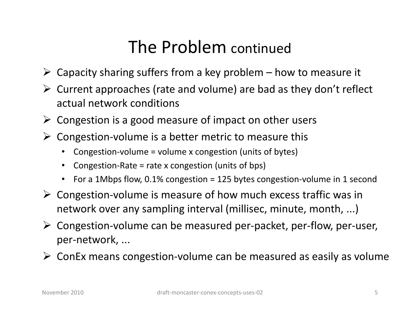#### The Problem continued

- $\triangleright$  Capacity sharing suffers from a key problem how to measure it
- $\triangleright$  Current approaches (rate and volume) are bad as they don't reflect actual network conditions
- > Congestion is a good measure of impact on other users
- $\triangleright$  Congestion-volume is a better metric to measure this
	- •Congestion-volume = volume x congestion (units of bytes)
	- •Congestion-Rate = rate x congestion (units of bps)
	- For a 1Mbps flow, 0.1% congestion = 125 bytes congestion-volume in 1 second
- Congestion-volume is measure of how much excess traffic was in  $\epsilon$ network over any sampling interval (millisec, minute, month, ...)
- Congestion-volume can be measured per-packet, per-flow, per-user, per-network, ...
- ConEx means congestion-volume can be measured as easily as volume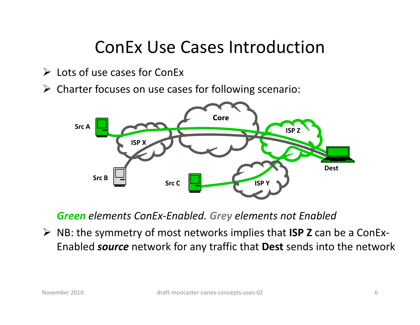#### ConEx Use Cases Introduction

- > Lots of use cases for ConEx
- Charter focuses on use cases for following scenario:



Green elements ConEx-Enabled. Grey elements not Enabled

 $\triangleright$  NB: the symmetry of most networks implies that **ISP Z** can be a ConEx-Enabled *source* network for any traffic that **Dest** sends into the network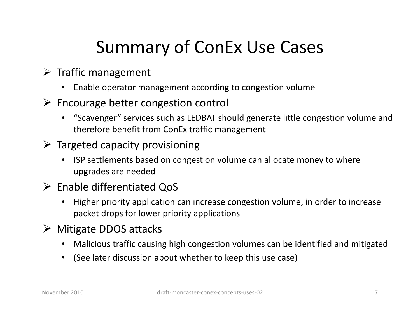# Summary of ConEx Use Cases

- > Traffic management
	- $\bullet$ Enable operator management according to congestion volume
- Encourage better congestion control<br>"
	- "Scavenger" services such as LEDBAT should generate little congestion volume and therefore benefit from ConEx traffic management
- > Targeted capacity provisioning
	- $\bullet$  ISP settlements based on congestion volume can allocate money to where upgrades are needed
- Enable differentiated QoS
	- Higher priority application can increase congestion volume, in order to increase packet drops for lower priority applications
- > Mitigate DDOS attacks
	- •Malicious traffic causing high congestion volumes can be identified and mitigated
	- (See later discussion about whether to keep this use case)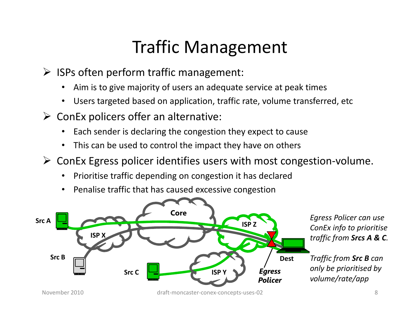### Traffic Management

- > ISPs often perform traffic management:
	- •Aim is to give majority of users an adequate service at peak times
	- •Users targeted based on application, traffic rate, volume transferred, etc
- $\triangleright$  ConEx policers offer an alternative:
	- •Each sender is declaring the congestion they expect to cause
	- •This can be used to control the impact they have on others
- ConEx Egress policer identifies users with most congestion -volume.
	- •Prioritise traffic depending on congestion it has declared
	- •Penalise traffic that has caused excessive congestion

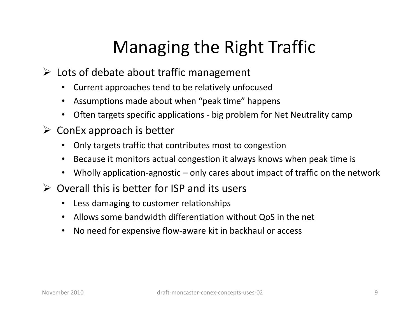# Managing the Right Traffic

- > Lots of debate about traffic management
	- •Current approaches tend to be relatively unfocused
	- Assumptions made about when "peak time" happens
	- Often targets specific applications big problem for Net Neutrality camp
- $\triangleright$  ConEx approach is better
	- Only targets traffic that contributes most to congestion
	- Because it monitors actual congestion it always knows when peak time is
	- Wholly application-agnostic only cares about impact of traffic on the network
- $\triangleright$  Overall this is better for ISP and its users
	- Less damaging to customer relationships
	- Allows some bandwidth differentiation without QoS in the net
	- $\bullet$ No need for expensive flow-aware kit in backhaul or access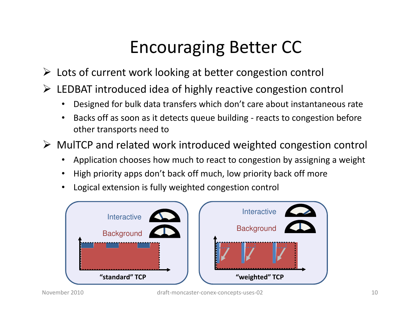## Encouraging Better CC

- > Lots of current work looking at better congestion control
- > LEDBAT introduced idea of highly reactive congestion control
	- •Designed for bulk data transfers which don't care about instantaneous rate
	- • Backs off as soon as it detects queue building - reacts to congestion before other transports need to
- MulTCP and related work introduced weighted congestion control
	- •Application chooses how much to react to congestion by assigning a weight
	- •High priority apps don't back off much, low priority back off more
	- •Logical extension is fully weighted congestion control

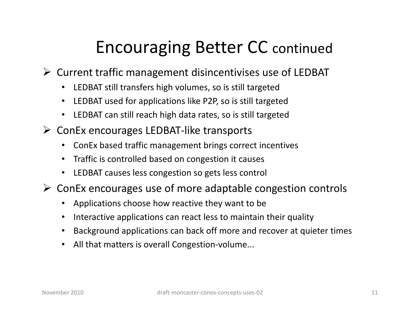## Encouraging Better CC continued

- > Current traffic management disincentivises use of LEDBAT
	- LEDBAT still transfers high volumes, so is still targeted
	- LEDBAT used for applications like P2P, so is still targeted
	- LEDBAT can still reach high data rates, so is still targeted
- > ConEx encourages LEDBAT-like transports
	- ConEx based traffic management brings correct incentives
	- Traffic is controlled based on congestion it causes
	- LEDBAT causes less congestion so gets less control
- ConEx encourages use of more adaptable congestion controls
	- Applications choose how reactive they want to be
	- •Interactive applications can react less to maintain their quality
	- Background applications can back off more and recover at quieter times
	- All that matters is overall Congestion-volume...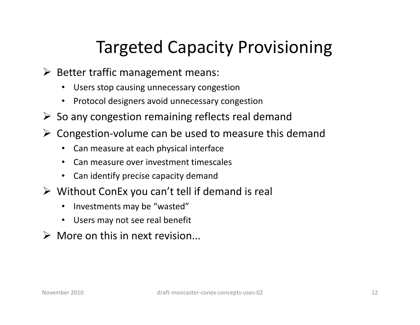## Targeted Capacity Provisioning

- Better traffic management means:
	- •Users stop causing unnecessary congestion
	- Protocol designers avoid unnecessary congestion
- $\triangleright$  So any congestion remaining reflects real demand
- > Congestion-volume can be used to measure this demand
	- •Can measure at each physical interface
	- •Can measure over investment timescales
	- Can identify precise capacity demand
- Without ConEx you can't tell if demand is real
	- Investments may be "wasted"
	- Users may not see real benefit
- $\triangleright$  More on this in next revision...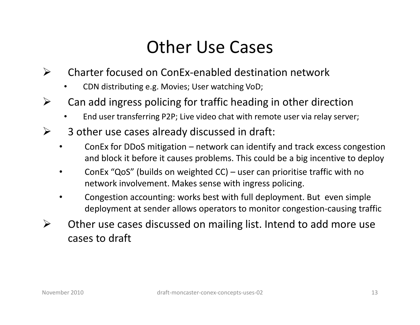#### Other Use Cases

- $\blacktriangleright$  Charter focused on ConEx-enabled destination network
	- •CDN distributing e.g. Movies; User watching VoD;
- ➤ Can add ingress policing for traffic heading in other direction
	- •End user transferring P2P; Live video chat with remote user via relay server;
- ➤ 3 other use cases already discussed in draft:
	- • ConEx for DDoS mitigation – network can identify and track excess congestion and block it before it causes problems. This could be a big incentive to deploy
	- • ConEx "QoS" (builds on weighted CC) – user can prioritise traffic with no network involvement. Makes sense with ingress policing.
	- • Congestion accounting: works best with full deployment. But even simple deployment at sender allows operators to monitor congestion-causing traffic
- $\blacktriangleright$  Other use cases discussed on mailing list. Intend to add more use cases to draft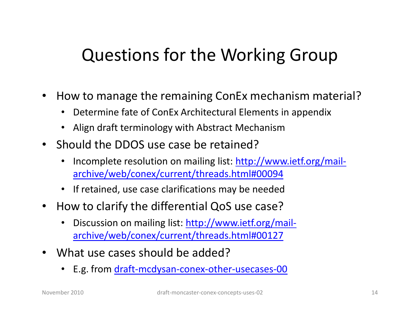#### Questions for the Working Group

- •• How to manage the remaining ConEx mechanism material?
	- Determine fate of ConEx Architectural Elements in appendix
	- Align draft terminology with Abstract Mechanism
- Should the DDOS use case be retained?
	- •• Incomplete resolution on mailing list: http://www.ietf.org/mail archive/web/conex/current/threads.html#00094
	- If retained, use case clarifications may be needed
- $\bullet$  How to clarify the differential QoS use case?
	- •Discussion on mailing list: http://www.ietf.org/mailarchive/web/conex/current/threads.html#00127
- $\bullet$  What use cases should be added?
	- E.g. from <u>draft-mcdysan-conex-other-usecases-00</u>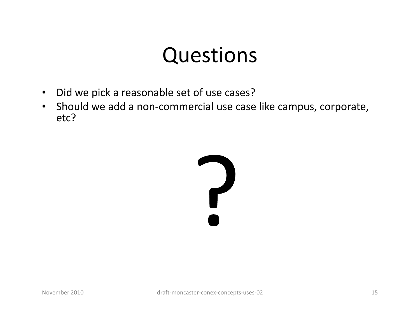# Questions

- Did we pick a reasonable set of use cases?
- Should we add a non-commercial use case like campus, corporate, etc?

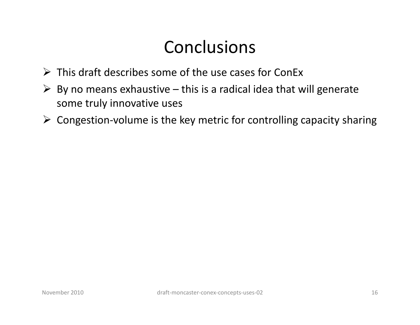### **Conclusions**

- $\triangleright$  This draft describes some of the use cases for ConEx
- $\triangleright$  By no means exhaustive this is a radical idea that will generate some truly innovative uses
- $\triangleright$  Congestion-volume is the key metric for controlling capacity sharing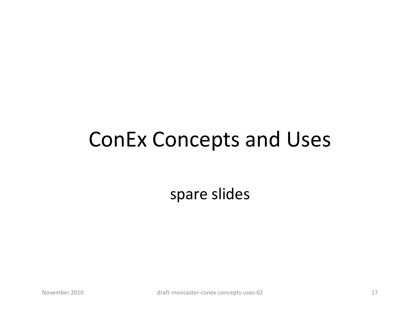# ConEx Concepts and Uses

spare slides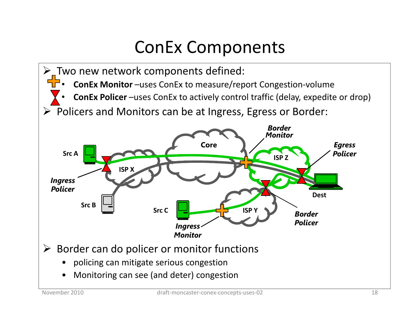## ConEx Components